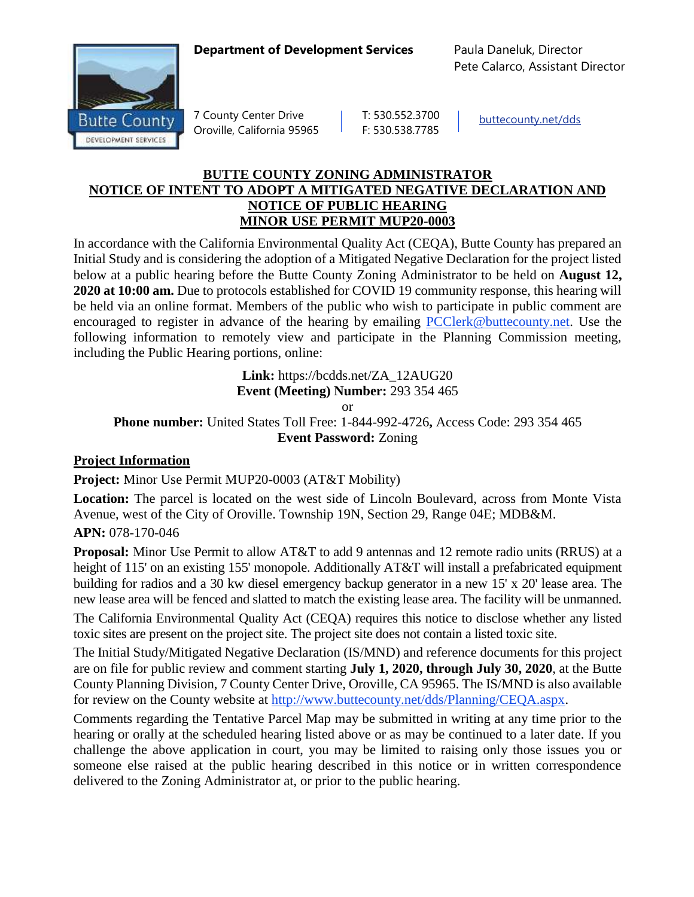## **Department of Development Services** Paula Daneluk, Director



7 County Center Drive | T: 530.552.3700 Oroville, California 95965 F: 530.538.7785

[buttecounty.net/dds](http://www.buttecounty.net/dds/home.aspx)

Pete Calarco, Assistant Director

## **BUTTE COUNTY ZONING ADMINISTRATOR NOTICE OF INTENT TO ADOPT A MITIGATED NEGATIVE DECLARATION AND NOTICE OF PUBLIC HEARING MINOR USE PERMIT MUP20-0003**

In accordance with the California Environmental Quality Act (CEQA), Butte County has prepared an Initial Study and is considering the adoption of a Mitigated Negative Declaration for the project listed below at a public hearing before the Butte County Zoning Administrator to be held on **August 12, 2020 at 10:00 am.** Due to protocols established for COVID 19 community response, this hearing will be held via an online format. Members of the public who wish to participate in public comment are encouraged to register in advance of the hearing by emailing [PCClerk@buttecounty.net.](mailto:PCClerk@buttecounty.net) Use the following information to remotely view and participate in the Planning Commission meeting, including the Public Hearing portions, online:

> **Link:** https://bcdds.net/ZA\_12AUG20 **Event (Meeting) Number:** 293 354 465

> > or

**Phone number:** United States Toll Free: 1-844-992-4726**,** Access Code: 293 354 465 **Event Password:** Zoning

## **Project Information**

**Project:** Minor Use Permit MUP20-0003 (AT&T Mobility)

**Location:** The parcel is located on the west side of Lincoln Boulevard, across from Monte Vista Avenue, west of the City of Oroville. Township 19N, Section 29, Range 04E; MDB&M.

## **APN:** 078-170-046

**Proposal:** Minor Use Permit to allow AT&T to add 9 antennas and 12 remote radio units (RRUS) at a height of 115' on an existing 155' monopole. Additionally AT&T will install a prefabricated equipment building for radios and a 30 kw diesel emergency backup generator in a new 15' x 20' lease area. The new lease area will be fenced and slatted to match the existing lease area. The facility will be unmanned.

The California Environmental Quality Act (CEQA) requires this notice to disclose whether any listed toxic sites are present on the project site. The project site does not contain a listed toxic site.

The Initial Study/Mitigated Negative Declaration (IS/MND) and reference documents for this project are on file for public review and comment starting **July 1, 2020, through July 30, 2020**, at the Butte County Planning Division, 7 County Center Drive, Oroville, CA 95965. The IS/MND is also available for review on the County website at [http://www.buttecounty.net/dds/Planning/CEQA.aspx.](http://www.buttecounty.net/dds/Planning/CEQA.aspx)

Comments regarding the Tentative Parcel Map may be submitted in writing at any time prior to the hearing or orally at the scheduled hearing listed above or as may be continued to a later date. If you challenge the above application in court, you may be limited to raising only those issues you or someone else raised at the public hearing described in this notice or in written correspondence delivered to the Zoning Administrator at, or prior to the public hearing.